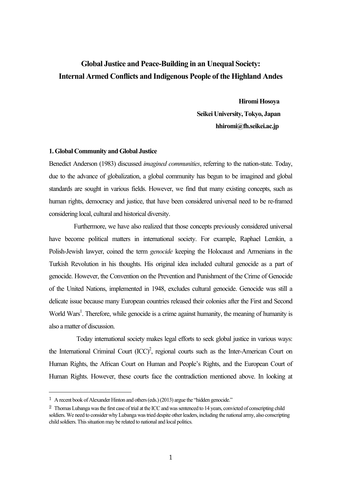# **Global Justice and Peace-Building in an Unequal Society: Internal Armed Conflicts and Indigenous People of the Highland Andes**

 **Hiromi Hosoya Seikei University, Tokyo, Japan hhiromi@fh.seikei.ac.jp**

# **1. Global Community and Global Justice**

Benedict Anderson (1983) discussed *imagined communities*, referring to the nation-state. Today, due to the advance of globalization, a global community has begun to be imagined and global standards are sought in various fields. However, we find that many existing concepts, such as human rights, democracy and justice, that have been considered universal need to be re-framed considering local, cultural and historical diversity.

 Furthermore, we have also realized that those concepts previously considered universal have become political matters in international society. For example, Raphael Lemkin, a Polish-Jewish lawyer, coined the term *genocide* keeping the Holocaust and Armenians in the Turkish Revolution in his thoughts. His original idea included cultural genocide as a part of genocide. However, the Convention on the Prevention and Punishment of the Crime of Genocide of the United Nations, implemented in 1948, excludes cultural genocide. Genocide was still a delicate issue because many European countries released their colonies after the First and Second World Wars<sup>1</sup>. Therefore, while genocide is a crime against humanity, the meaning of humanity is also a matter of discussion.

Today international society makes legal efforts to seek global justice in various ways: the International Criminal Court  $(ICC)^2$ , regional courts such as the Inter-American Court on Human Rights, the African Court on Human and People's Rights, and the European Court of Human Rights. However, these courts face the contradiction mentioned above. In looking at

 <sup>1</sup> A recent book of Alexander Hinton and others (eds.) (2013) argue the "hidden genocide."

<sup>&</sup>lt;sup>2</sup> Thomas Lubanga was the first case of trial at the ICC and was sentenced to 14 years, convicted of conscripting child soldiers. We need to consider why Lubanga was tried despite other leaders, including the national army, also conscripting child soldiers. This situation may be related to national and local politics.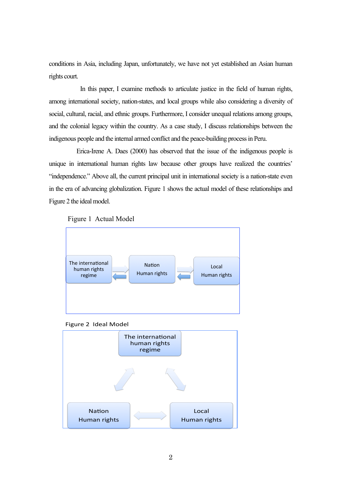conditions in Asia, including Japan, unfortunately, we have not yet established an Asian human rights court.

 In this paper, I examine methods to articulate justice in the field of human rights, among international society, nation-states, and local groups while also considering a diversity of social, cultural, racial, and ethnic groups. Furthermore, I consider unequal relations among groups, and the colonial legacy within the country. As a case study, I discuss relationships between the indigenous people and the internal armed conflict and the peace-building process in Peru.

Erica-Irene A. Daes (2000) has observed that the issue of the indigenous people is unique in international human rights law because other groups have realized the countries' "independence." Above all, the current principal unit in international society is a nation-state even in the era of advancing globalization. Figure 1 shows the actual model of these relationships and Figure 2 the ideal model.







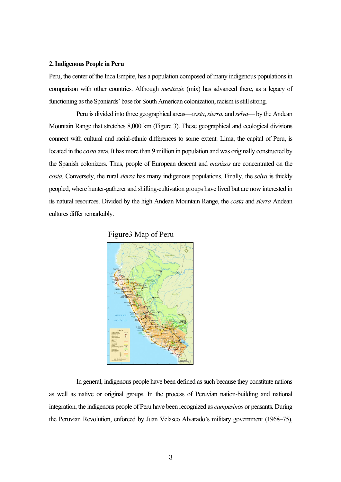#### **2. Indigenous People in Peru**

Peru, the center of the Inca Empire, has a population composed of many indigenous populations in comparison with other countries. Although *mestizaje* (mix) has advanced there, as a legacy of functioning as the Spaniards' base for South American colonization, racism is still strong.

Peru is divided into three geographical areas—*costa*,*sierra*, and *selva*— by the Andean Mountain Range that stretches 8,000 km (Figure 3). These geographical and ecological divisions connect with cultural and racial-ethnic differences to some extent. Lima, the capital of Peru, is located in the *costa* area. It has more than 9 million in population and was originally constructed by the Spanish colonizers. Thus, people of European descent and *mestizos* are concentrated on the *costa.* Conversely, the rural *sierra* has many indigenous populations. Finally, the *selva* is thickly peopled, where hunter-gatherer and shifting-cultivation groups have lived but are now interested in its natural resources. Divided by the high Andean Mountain Range, the *costa* and *sierra* Andean cultures differ remarkably.





In general, indigenous people have been defined as such because they constitute nations as well as native or original groups. In the process of Peruvian nation-building and national integration, the indigenous people of Peru have been recognized as *campesinos* or peasants. During the Peruvian Revolution, enforced by Juan Velasco Alvarado's military government (1968–75),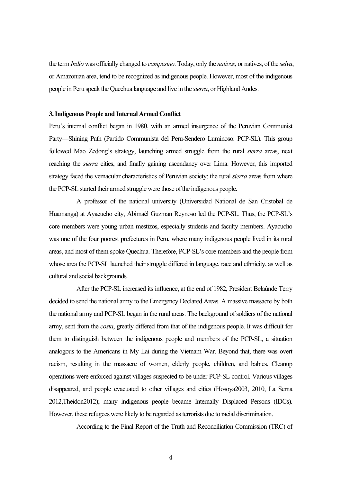the term *Indio* was officially changed to *campesino*. Today, only the *nativos*, or natives, of the *selva*, or Amazonian area, tend to be recognized as indigenous people. However, most of the indigenous people in Peru speak the Quechua language and live in the *sierra*, or Highland Andes.

#### **3. Indigenous People and Internal Armed Conflict**

Peru's internal conflict began in 1980, with an armed insurgence of the Peruvian Communist Party—Shining Path (Partido Communista del Peru-Sendero Luminoso: PCP-SL). This group followed Mao Zedong's strategy, launching armed struggle from the rural *sierra* areas, next reaching the *sierra* cities, and finally gaining ascendancy over Lima. However, this imported strategy faced the vernacular characteristics of Peruvian society; the rural *sierra* areas from where the PCP-SL started their armed struggle were those of the indigenous people.

A professor of the national university (Universidad National de San Cristobal de Huamanga) at Ayacucho city, Abimaél Guzman Reynoso led the PCP-SL. Thus, the PCP-SL's core members were young urban mestizos, especially students and faculty members. Ayacucho was one of the four poorest prefectures in Peru, where many indigenous people lived in its rural areas, and most of them spoke Quechua. Therefore, PCP-SL's core members and the people from whose area the PCP-SL launched their struggle differed in language, race and ethnicity, as well as cultural and social backgrounds.

After the PCP-SL increased its influence, at the end of 1982, President Belaúnde Terry decided to send the national army to the Emergency Declared Areas. A massive massacre by both the national army and PCP-SL began in the rural areas. The background of soldiers of the national army, sent from the *costa*, greatly differed from that of the indigenous people. It was difficult for them to distinguish between the indigenous people and members of the PCP-SL, a situation analogous to the Americans in My Lai during the Vietnam War. Beyond that, there was overt racism, resulting in the massacre of women, elderly people, children, and babies. Cleanup operations were enforced against villages suspected to be under PCP-SL control. Various villages disappeared, and people evacuated to other villages and cities (Hosoya2003, 2010, La Serna 2012,Theidon2012); many indigenous people became Internally Displaced Persons (IDCs). However, these refugees were likely to be regarded as terrorists due to racial discrimination.

According to the Final Report of the Truth and Reconciliation Commission (TRC) of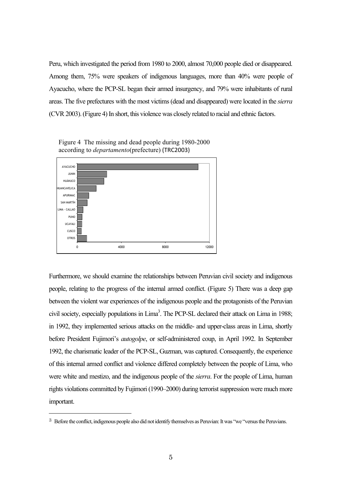Peru, which investigated the period from 1980 to 2000, almost 70,000 people died or disappeared. Among them, 75% were speakers of indigenous languages, more than 40% were people of Ayacucho, where the PCP-SL began their armed insurgency, and 79% were inhabitants of rural areas. The five prefectures with the most victims (dead and disappeared) were located in the *sierra* (CVR 2003). (Figure 4) In short, this violence was closely related to racial and ethnic factors. el corazón de la seu principales ciudades a finales de la década de la década de la década de la del 90, fue d cas de la svíctimas de la conflicto has del conflicto has del conflicto de conflicto de conflicto de piel. In la sierra y selva de la mitad central del país.



Figure 4 The missing and dead people during 1980-2000 according to *departamento*(prefecture) (TRC2003)

muchos de los hechos ocurridos en ellas hayan tenido gran trascendencia en la opinión pública.

Furthermore, we should examine the relationships between Peruvian civil society and indigenous people, relating to the progress of the internal armed conflict. (Figure 5) There was a deep gap between the violent war experiences of the indigenous people and the protagonists of the Peruvian civil society, especially populations in Lima<sup>3</sup>. The PCP-SL declared their attack on Lima in 1988; in 1992, they implemented serious attacks on the middle- and upper-class areas in Lima, shortly before President Fujimori's *autogolpe*, or self-administered coup, in April 1992. In September 1992, the charismatic leader of the PCP-SL, Guzman, was captured. Consequently, the experience of this internal armed conflict and violence differed completely between the people of Lima, who were white and mestizo, and the indigenous people of the *sierra*. For the people of Lima, human rights violations committed by Fujimori (1990–2000) during terrorist suppression were much more important. urthermore, we should examine the relationships between Peruvian civil  $\mathcal{L}$  search consideration por different estudios (INEI 1994: PNU) dentro de la lista de la lista de la lista de la lista de la lista de la lista de la lista de la lista de la lista de la lista de la lista de la lista 25 Las víctimas fatales incluyen también a las personas que se encuentran desaparecidas en el momento de la elaboración de este Informe

 $3<sup>3</sup>$  Before the conflict, indigenous people also did not identify themselves as Peruvian: It was "we "versus the Peruvians.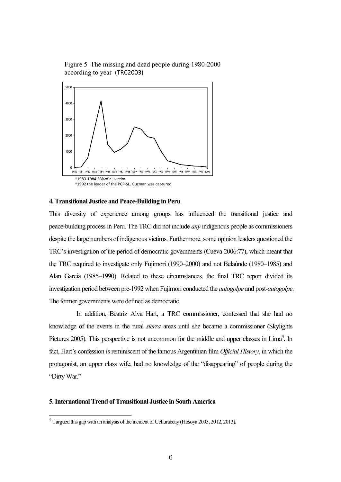Figure 5 The missing and dead people during 1980-2000 according to year (TRC2003)



# **4. Transitional Justice and Peace-Building in Peru**

This diversity of experience among groups has influenced the transitional justice and peace-building process in Peru. The TRC did not include *any* indigenous people as commissioners despite the large numbers of indigenous victims. Furthermore, some opinion leaders questioned the TRC's investigation of the period of democratic governments (Cueva 2006:77), which meant that the TRC required to investigate only Fujimori (1990–2000) and not Belaúnde (1980–1985) and Alan Garcia (1985-1990). Related to these circumstances, the final TRC report divided its investigation period between pre-1992 when Fujimori conducted the *autogolpe* and post-*autogolpe*. The former governments were defined as democratic. 1980 1981 1982 1983 1984 1985 1986 1987 1988 1989 1990 1991 1992 1993 1994 1995 1996 1997 1998 1999 2000 d<br>s<br>s d<br>ال Apurímac), también disminuyó el porcentaje de víctimas fatales ocurridas en zonas rurales y de aquéllas

In addition, Beatriz Alva Hart, a TRC commissioner, confessed that she had no knowledge of the events in the rural *sierra* areas until she became a commissioner (Skylights Pictures 2005). This perspective is not uncommon for the middle and upper classes in Lima<sup>4</sup>. In fact, Hart's confession is reminiscent of the famous Argentinian film *Official History*, in which the protagonist, an upper class wife, had no knowledge of the "disappearing" of people during the "Dirty War." commissioner. Gealitz Alva Hart, a IRC commissioner. Com

## **5. International Trend of Transitional Justice in South America**

<sup>4</sup> I argued this gap with an analysis of the incident of Uchuraccay (Hosoya 2003, 2012, 2013).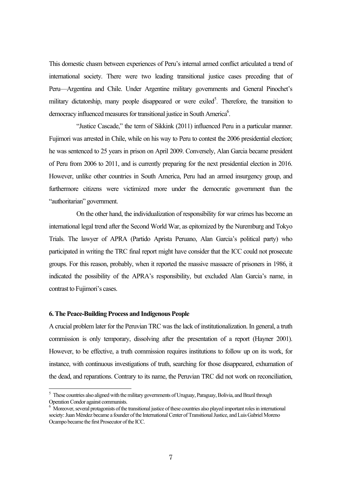This domestic chasm between experiences of Peru's internal armed conflict articulated a trend of international society. There were two leading transitional justice cases preceding that of Peru—Argentina and Chile. Under Argentine military governments and General Pinochet's military dictatorship, many people disappeared or were exiled<sup>5</sup>. Therefore, the transition to democracy influenced measures for transitional justice in South America<sup>6</sup>.

"Justice Cascade," the term of Sikkink (2011) influenced Peru in a particular manner. Fujimori was arrested in Chile, while on his way to Peru to contest the 2006 presidential election; he was sentenced to 25 years in prison on April 2009. Conversely, Alan Garcia became president of Peru from 2006 to 2011, and is currently preparing for the next presidential election in 2016. However, unlike other countries in South America, Peru had an armed insurgency group, and furthermore citizens were victimized more under the democratic government than the "authoritarian" government.

On the other hand, the individualization of responsibility for war crimes has become an international legal trend after the Second World War, as epitomized by the Nuremburg and Tokyo Trials. The lawyer of APRA (Partido Aprista Peruano, Alan Garcia's political party) who participated in writing the TRC final report might have consider that the ICC could not prosecute groups. For this reason, probably, when it reported the massive massacre of prisoners in 1986, it indicated the possibility of the APRA's responsibility, but excluded Alan Garcia's name, in contrast to Fujimori's cases.

### **6. The Peace-Building Process and Indigenous People**

A crucial problem later for the Peruvian TRC was the lack of institutionalization. In general, a truth commission is only temporary, dissolving after the presentation of a report (Hayner 2001). However, to be effective, a truth commission requires institutions to follow up on its work, for instance, with continuous investigations of truth, searching for those disappeared, exhumation of the dead, and reparations. Contrary to its name, the Peruvian TRC did not work on reconciliation,

<sup>&</sup>lt;sup>5</sup> These countries also aligned with the military governments of Uruguay, Paraguay, Bolivia, and Brazil through Operation Condor against communists.

 $6\,$  Moreover, several protagonists of the transitional justice of these countries also played important roles in international society: Juan Méndez became a founder of the International Center of Transitional Justice, and Luis Gabriel Moreno Ocampo became the first Prosecutor of the ICC.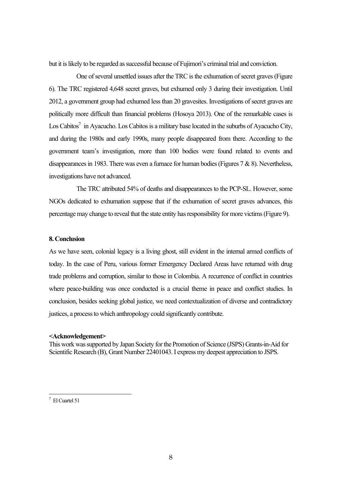but it is likely to be regarded as successful because of Fujimori's criminal trial and conviction.

One of several unsettled issues after the TRC is the exhumation of secret graves (Figure 6). The TRC registered 4,648 secret graves, but exhumed only 3 during their investigation. Until 2012, a government group had exhumed less than 20 gravesites. Investigations of secret graves are politically more difficult than financial problems (Hosoya 2013). One of the remarkable cases is Los Cabitos<sup>7</sup> in Ayacucho. Los Cabitos is a military base located in the suburbs of Ayacucho City, and during the 1980s and early 1990s, many people disappeared from there. According to the government team's investigation, more than 100 bodies were found related to events and disappearances in 1983. There was even a furnace for human bodies (Figures 7 & 8). Nevertheless, investigations have not advanced.

The TRC attributed 54% of deaths and disappearances to the PCP-SL. However, some NGOs dedicated to exhumation suppose that if the exhumation of secret graves advances, this percentage may change to reveal that the state entity has responsibility for more victims (Figure 9).

## **8. Conclusion**

As we have seen, colonial legacy is a living ghost, still evident in the internal armed conflicts of today. In the case of Peru, various former Emergency Declared Areas have returned with drug trade problems and corruption, similar to those in Colombia. A recurrence of conflict in countries where peace-building was once conducted is a crucial theme in peace and conflict studies. In conclusion, besides seeking global justice, we need contextualization of diverse and contradictory justices, a process to which anthropology could significantly contribute.

#### **<Acknowledgement>**

This work was supported by Japan Society for the Promotion of Science (JSPS) Grants-in-Aid for Scientific Research (B), Grant Number 22401043. I express my deepest appreciation to JSPS.

<sup>7</sup> El Cuartel 51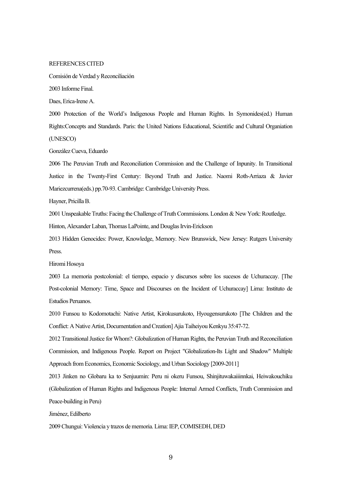#### REFERENCES CITED

Comisión de Verdad y Reconciliación

2003 Informe Final.

Daes, Erica-Irene A.

2000 Protection of the World's Indigenous People and Human Rights. In Symonides(ed.) Human Rights:Concepts and Standards. Paris: the United Nations Educational, Scientific and Cultural Organiation (UNESCO)

González Cueva, Eduardo

2006 The Peruvian Truth and Reconciliation Commission and the Challenge of Inpunity. In Transitional Justice in the Twenty-First Century: Beyond Truth and Justice. Naomi Roth-Arriaza & Javier Mariezcurrena(eds.) pp.70-93. Cambridge: Cambridge University Press.

Hayner, Pricilla B.

2001 Unspeakable Truths: Facing the Challenge of Truth Commissions. London & New York: Routledge.

Hinton, Alexander Laban, Thomas LaPointe, and Douglas Irvin-Erickson

2013 Hidden Genocides: Power, Knowledge, Memory. New Brunswick, New Jersey: Rutgers University Press.

Hiromi Hosoya

2003 La memoria postcolonial: el tiempo, espacio y discursos sobre los sucesos de Uchuraccay. [The Post-colonial Memory: Time, Space and Discourses on the Incident of Uchuraccay] Lima: Instituto de Estudios Peruanos.

2010 Funsou to Kodomotachi: Native Artist, Kirokusurukoto, Hyougensurukoto [The Children and the Conflict: A Native Artist, Documentation and Creation] Ajia Taiheiyou Kenkyu 35:47-72.

2012 Transitional Justice for Whom?: Globalization of Human Rights, the Peruvian Truth and Reconciliation Commission, and Indigenous People. Report on Project "Globalization-Its Light and Shadow" Multiple Approach from Economics, Economic Sociology, and Urban Sociology [2009-2011]

2013 Jinken no Globaru ka to Senjuumin: Peru ni okeru Funsou, Shinjituwakaiiinnkai, Heiwakouchiku (Globalization of Human Rights and Indigenous People: Internal Armed Conflicts, Truth Commission and Peace-building in Peru)

Jiménez, Edilberto

2009 Chungui: Violencia y trazos de memoria. Lima: IEP, COMISEDH, DED

9